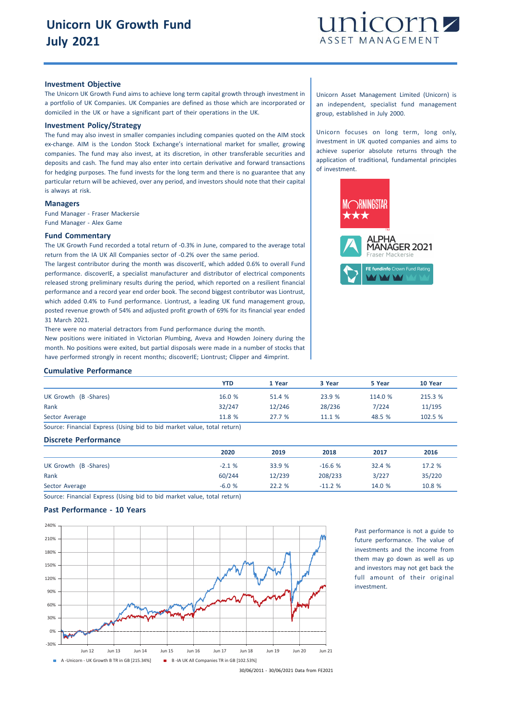

## **Investment Objective**

The Unicorn UK Growth Fund aims to achieve long term capital growth through investment in a portfolio of UK Companies. UK Companies are defined as those which are incorporated or domiciled in the UK or have a significant part of their operations in the UK.

## **Investment Policy/Strategy**

The fund may also invest in smaller companies including companies quoted on the AIM stock ex-change. AIM is the London Stock Exchange's international market for smaller, growing companies. The fund may also invest, at its discretion, in other transferable securities and deposits and cash. The fund may also enter into certain derivative and forward transactions for hedging purposes. The fund invests for the long term and there is no guarantee that any particular return will be achieved, over any period, and investors should note that their capital is always at risk.

## **Managers**

Fund Manager - Fraser Mackersie Fund Manager - Alex Game

## **Fund Commentary**

The UK Growth Fund recorded a total return of -0.3% in June, compared to the average total return from the IA UK All Companies sector of -0.2% over the same period.

The largest contributor during the month was discoverIE, which added 0.6% to overall Fund performance. discoverIE, a specialist manufacturer and distributor of electrical components released strong preliminary results during the period, which reported on a resilient financial performance and a record year end order book. The second biggest contributor was Liontrust, which added 0.4% to Fund performance. Liontrust, a leading UK fund management group, posted revenue growth of 54% and adjusted profit growth of 69% for its financial year ended 31 March 2021.

There were no material detractors from Fund performance during the month. New positions were initiated in Victorian Plumbing, Aveva and Howden Joinery during the month. No positions were exited, but partial disposals were made in a number of stocks that have performed strongly in recent months; discoverIE; Liontrust; Clipper and 4imprint.

Unicorn Asset Management Limited (Unicorn) is an independent, specialist fund management group, established in July 2000.

Unicorn focuses on long term, long only, investment in UK quoted companies and aims to achieve superior absolute returns through the application of traditional, fundamental principles of investment.



#### **Cumulative Performance**

|                                                                        | YTD    | 1 Year | 3 Year | 5 Year  | 10 Year |
|------------------------------------------------------------------------|--------|--------|--------|---------|---------|
| UK Growth (B-Shares)                                                   | 16.0%  | 51.4 % | 23.9 % | 114.0 % | 215.3 % |
| Rank                                                                   | 32/247 | 12/246 | 28/236 | 7/224   | 11/195  |
| Sector Average                                                         | 11.8 % | 27.7%  | 11.1%  | 48.5 %  | 102.5 % |
| Cource: Einancial Evnress (Heing bid to bid market value total return) |        |        |        |         |         |

Source: Financial Express (Using bid to bid market value, total return)

## **Discrete Performance**

|                      | 2020    | 2019   | 2018     | 2017   | 2016   |
|----------------------|---------|--------|----------|--------|--------|
| UK Growth (B-Shares) | $-2.1%$ | 33.9 % | $-16.6%$ | 32.4 % | 17.2 % |
| Rank                 | 60/244  | 12/239 | 208/233  | 3/227  | 35/220 |
| Sector Average       | $-6.0%$ | 22.2%  | $-11.2%$ | 14.0 % | 10.8 % |

Source: Financial Express (Using bid to bid market value, total return)

### **Past Performance - 10 Years**



Past performance is not a guide to future performance. The value of investments and the income from them may go down as well as up and investors may not get back the full amount of their original investment.

30/06/2011 - 30/06/2021 Data from FE2021